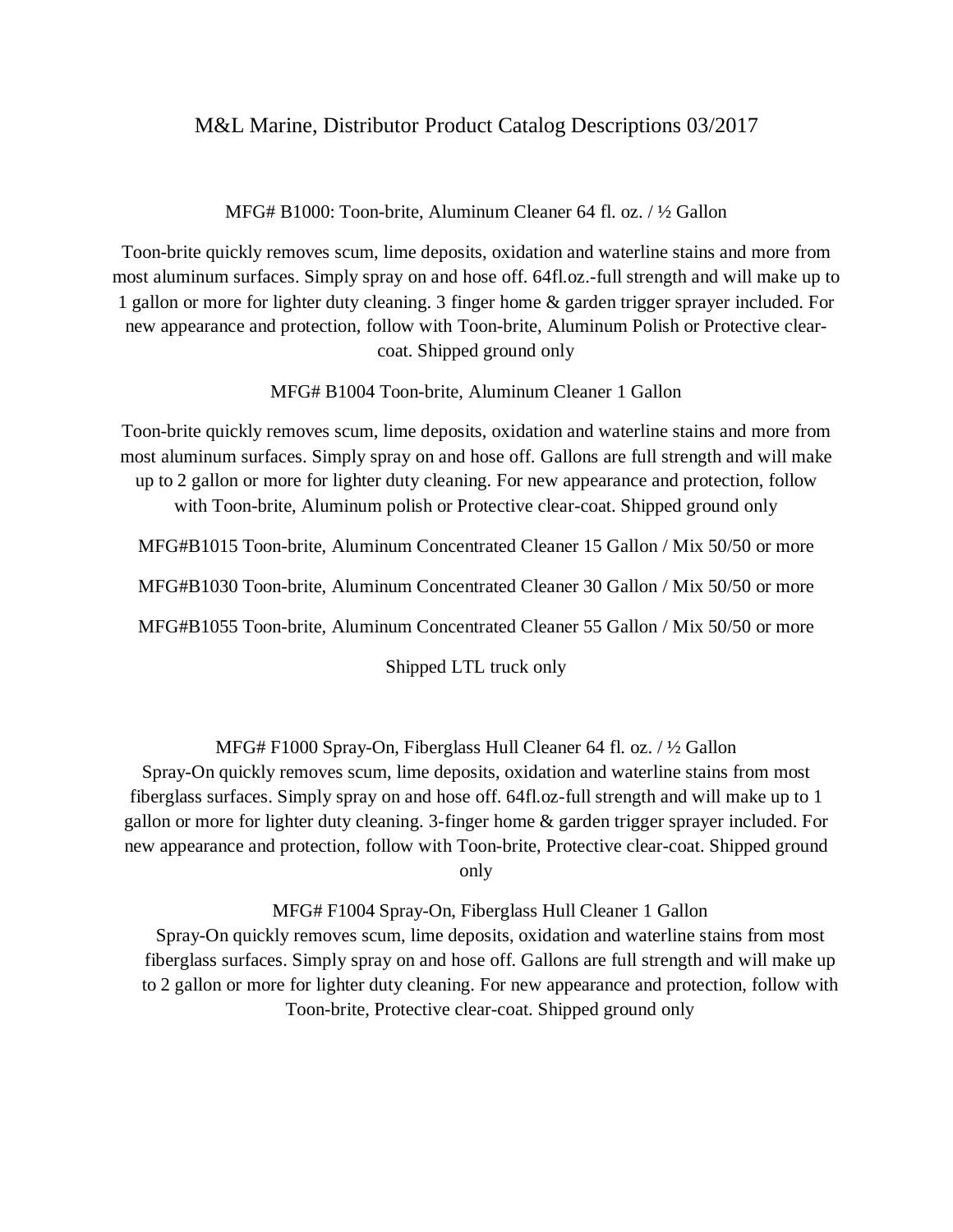## M&L Marine, Distributor Product Catalog Descriptions 03/2017

MFG# B1000: Toon-brite, Aluminum Cleaner 64 fl. oz. / ½ Gallon

Toon-brite quickly removes scum, lime deposits, oxidation and waterline stains and more from most aluminum surfaces. Simply spray on and hose off. 64fl.oz.-full strength and will make up to 1 gallon or more for lighter duty cleaning. 3 finger home & garden trigger sprayer included. For new appearance and protection, follow with Toon-brite, Aluminum Polish or Protective clearcoat. Shipped ground only

MFG# B1004 Toon-brite, Aluminum Cleaner 1 Gallon

Toon-brite quickly removes scum, lime deposits, oxidation and waterline stains and more from most aluminum surfaces. Simply spray on and hose off. Gallons are full strength and will make up to 2 gallon or more for lighter duty cleaning. For new appearance and protection, follow with Toon-brite, Aluminum polish or Protective clear-coat. Shipped ground only

MFG#B1015 Toon-brite, Aluminum Concentrated Cleaner 15 Gallon / Mix 50/50 or more

MFG#B1030 Toon-brite, Aluminum Concentrated Cleaner 30 Gallon / Mix 50/50 or more

MFG#B1055 Toon-brite, Aluminum Concentrated Cleaner 55 Gallon / Mix 50/50 or more

Shipped LTL truck only

MFG# F1000 Spray-On, Fiberglass Hull Cleaner 64 fl. oz. / ½ Gallon

Spray-On quickly removes scum, lime deposits, oxidation and waterline stains from most fiberglass surfaces. Simply spray on and hose off. 64fl.oz-full strength and will make up to 1 gallon or more for lighter duty cleaning. 3-finger home & garden trigger sprayer included. For new appearance and protection, follow with Toon-brite, Protective clear-coat. Shipped ground only

MFG# F1004 Spray-On, Fiberglass Hull Cleaner 1 Gallon

Spray-On quickly removes scum, lime deposits, oxidation and waterline stains from most fiberglass surfaces. Simply spray on and hose off. Gallons are full strength and will make up to 2 gallon or more for lighter duty cleaning. For new appearance and protection, follow with Toon-brite, Protective clear-coat. Shipped ground only